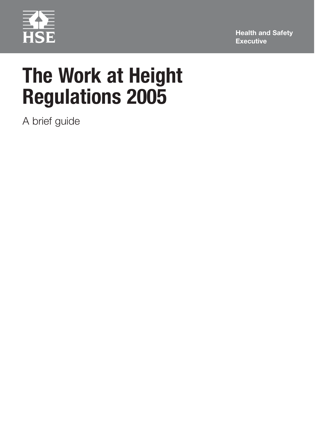

**Health and Safety Executive**

# **The Work at Height Regulations 2005**

A brief guide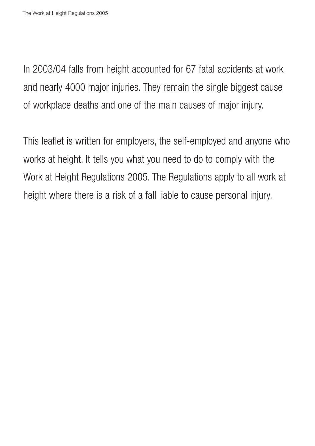In 2003/04 falls from height accounted for 67 fatal accidents at work and nearly 4000 major injuries. They remain the single biggest cause of workplace deaths and one of the main causes of major injury.

This leaflet is written for employers, the self-employed and anyone who works at height. It tells you what you need to do to comply with the Work at Height Regulations 2005. The Regulations apply to all work at height where there is a risk of a fall liable to cause personal injury.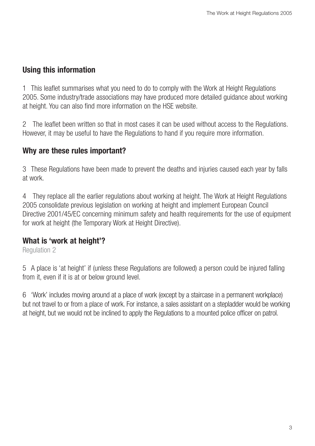# **Using this information**

1 This leaflet summarises what you need to do to comply with the Work at Height Regulations 2005. Some industry/trade associations may have produced more detailed guidance about working at height. You can also find more information on the HSE website.

2 The leaflet been written so that in most cases it can be used without access to the Regulations. However, it may be useful to have the Regulations to hand if you require more information.

# **Why are these rules important?**

3 These Regulations have been made to prevent the deaths and injuries caused each year by falls at work.

4 They replace all the earlier regulations about working at height. The Work at Height Regulations 2005 consolidate previous legislation on working at height and implement European Council Directive 2001/45/EC concerning minimum safety and health requirements for the use of equipment for work at height (the Temporary Work at Height Directive).

## **What is 'work at height'?**

Regulation 2

5 A place is 'at height' if (unless these Regulations are followed) a person could be injured falling from it, even if it is at or below ground level.

6 'Work' includes moving around at a place of work (except by a staircase in a permanent workplace) but not travel to or from a place of work. For instance, a sales assistant on a stepladder would be working at height, but we would not be inclined to apply the Regulations to a mounted police officer on patrol.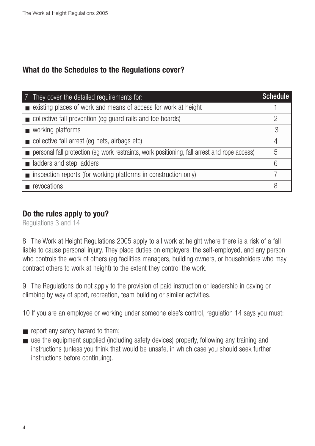# **What do the Schedules to the Regulations cover?**

| 7 They cover the detailed requirements for:                                                  | <b>Schedule</b> |
|----------------------------------------------------------------------------------------------|-----------------|
| existing places of work and means of access for work at height                               |                 |
| collective fall prevention (eg guard rails and toe boards)                                   | 2               |
| ■ working platforms                                                                          | 3               |
| collective fall arrest (eg nets, airbags etc)                                                | 4               |
| personal fall protection (eg work restraints, work positioning, fall arrest and rope access) | 5               |
| adders and step ladders                                                                      | 6               |
| inspection reports (for working platforms in construction only)                              | 7               |
| revocations                                                                                  | 8               |

# **Do the rules apply to you?**

Regulations 3 and 14

8 The Work at Height Regulations 2005 apply to all work at height where there is a risk of a fall liable to cause personal injury. They place duties on employers, the self-employed, and any person who controls the work of others (eg facilities managers, building owners, or householders who may contract others to work at height) to the extent they control the work.

9 The Regulations do not apply to the provision of paid instruction or leadership in caving or climbing by way of sport, recreation, team building or similar activities.

10 If you are an employee or working under someone else's control, regulation 14 says you must:

- report any safety hazard to them;
- use the equipment supplied (including safety devices) properly, following any training and instructions (unless you think that would be unsafe, in which case you should seek further instructions before continuing).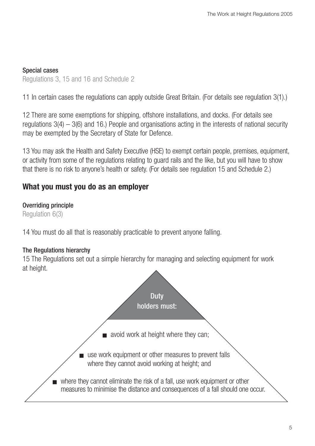#### Special cases

Regulations 3, 15 and 16 and Schedule 2

11 In certain cases the regulations can apply outside Great Britain. (For details see regulation 3(1).)

12 There are some exemptions for shipping, offshore installations, and docks. (For details see regulations  $3(4) - 3(6)$  and 16.) People and organisations acting in the interests of national security may be exempted by the Secretary of State for Defence.

13 You may ask the Health and Safety Executive (HSE) to exempt certain people, premises, equipment, or activity from some of the regulations relating to guard rails and the like, but you will have to show that there is no risk to anyone's health or safety. (For details see regulation 15 and Schedule 2.)

## **What you must you do as an employer**

#### Overriding principle

Regulation 6(3)

14 You must do all that is reasonably practicable to prevent anyone falling.

#### The Regulations hierarchy

15 The Regulations set out a simple hierarchy for managing and selecting equipment for work at height.

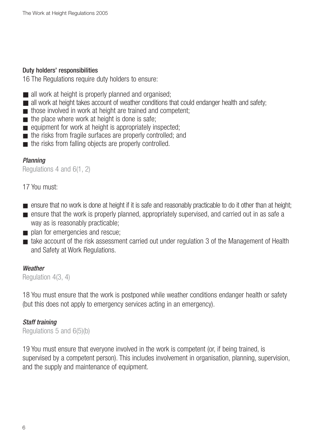#### Duty holders' responsibilities

16 The Regulations require duty holders to ensure:

- all work at height is properly planned and organised;
- all work at height takes account of weather conditions that could endanger health and safety;
- those involved in work at height are trained and competent:
- $\blacksquare$  the place where work at height is done is safe;
- equipment for work at height is appropriately inspected;
- the risks from fragile surfaces are properly controlled; and
- the risks from falling objects are properly controlled.

#### Planning

Regulations 4 and 6(1, 2)

### 17 You must:

- ensure that no work is done at height if it is safe and reasonably practicable to do it other than at height;
- ensure that the work is properly planned, appropriately supervised, and carried out in as safe a way as is reasonably practicable;
- plan for emergencies and rescue;
- take account of the risk assessment carried out under regulation 3 of the Management of Health and Safety at Work Regulations.

#### **Weather**

Regulation 4(3, 4)

18 You must ensure that the work is postponed while weather conditions endanger health or safety (but this does not apply to emergency services acting in an emergency).

#### Staff training

Regulations 5 and 6(5)(b)

19 You must ensure that everyone involved in the work is competent (or, if being trained, is supervised by a competent person). This includes involvement in organisation, planning, supervision, and the supply and maintenance of equipment.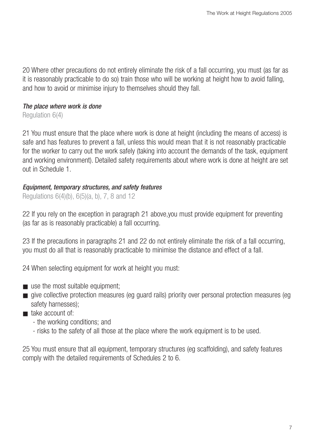20 Where other precautions do not entirely eliminate the risk of a fall occurring, you must (as far as it is reasonably practicable to do so) train those who will be working at height how to avoid falling, and how to avoid or minimise injury to themselves should they fall.

#### The place where work is done

Regulation 6(4)

21 You must ensure that the place where work is done at height (including the means of access) is safe and has features to prevent a fall, unless this would mean that it is not reasonably practicable for the worker to carry out the work safely (taking into account the demands of the task, equipment and working environment). Detailed safety requirements about where work is done at height are set out in Schedule 1.

#### Equipment, temporary structures, and safety features

Regulations 6(4)(b), 6(5)(a, b), 7, 8 and 12

22 If you rely on the exception in paragraph 21 above,you must provide equipment for preventing (as far as is reasonably practicable) a fall occurring.

23 If the precautions in paragraphs 21 and 22 do not entirely eliminate the risk of a fall occurring, you must do all that is reasonably practicable to minimise the distance and effect of a fall.

24 When selecting equipment for work at height you must:

- $\blacksquare$  use the most suitable equipment:
- give collective protection measures (eg guard rails) priority over personal protection measures (eg safety harnesses);
- take account of:
	- the working conditions; and
	- risks to the safety of all those at the place where the work equipment is to be used.

25 You must ensure that all equipment, temporary structures (eg scaffolding), and safety features comply with the detailed requirements of Schedules 2 to 6.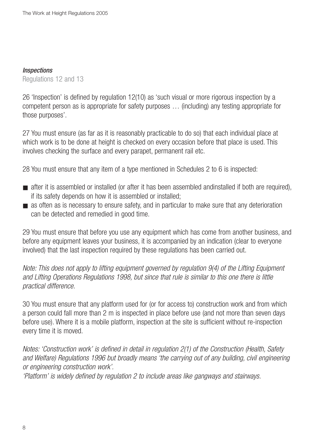#### Inspections

Regulations 12 and 13

26 'Inspection' is defined by regulation 12(10) as 'such visual or more rigorous inspection by a competent person as is appropriate for safety purposes … (including) any testing appropriate for those purposes'.

27 You must ensure (as far as it is reasonably practicable to do so) that each individual place at which work is to be done at height is checked on every occasion before that place is used. This involves checking the surface and every parapet, permanent rail etc.

28 You must ensure that any item of a type mentioned in Schedules 2 to 6 is inspected:

- after it is assembled or installed (or after it has been assembled andinstalled if both are required), if its safety depends on how it is assembled or installed;
- as often as is necessary to ensure safety, and in particular to make sure that any deterioration can be detected and remedied in good time.

29 You must ensure that before you use any equipment which has come from another business, and before any equipment leaves your business, it is accompanied by an indication (clear to everyone involved) that the last inspection required by these regulations has been carried out.

Note: This does not apply to lifting equipment governed by regulation 9(4) of the Lifting Equipment and Lifting Operations Regulations 1998, but since that rule is similar to this one there is little practical difference.

30 You must ensure that any platform used for (or for access to) construction work and from which a person could fall more than 2 m is inspected in place before use (and not more than seven days before use). Where it is a mobile platform, inspection at the site is sufficient without re-inspection every time it is moved.

Notes: 'Construction work' is defined in detail in regulation 2(1) of the Construction (Health, Safety and Welfare) Regulations 1996 but broadly means 'the carrying out of any building, civil engineering or engineering construction work'.

'Platform' is widely defined by regulation 2 to include areas like gangways and stairways.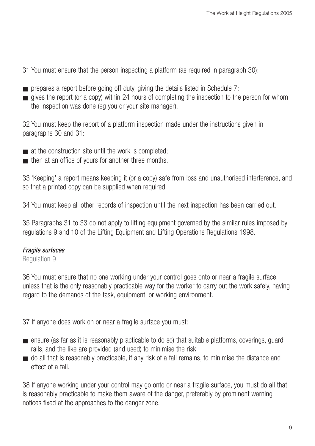- 31 You must ensure that the person inspecting a platform (as required in paragraph 30):
- $\blacksquare$  prepares a report before going off duty, giving the details listed in Schedule 7;
- gives the report (or a copy) within 24 hours of completing the inspection to the person for whom the inspection was done (eg you or your site manager).

32 You must keep the report of a platform inspection made under the instructions given in paragraphs 30 and 31:

- at the construction site until the work is completed:
- then at an office of yours for another three months.

33 'Keeping' a report means keeping it (or a copy) safe from loss and unauthorised interference, and so that a printed copy can be supplied when required.

34 You must keep all other records of inspection until the next inspection has been carried out.

35 Paragraphs 31 to 33 do not apply to lifting equipment governed by the similar rules imposed by regulations 9 and 10 of the Lifting Equipment and Lifting Operations Regulations 1998.

## Fragile surfaces

Regulation 9

36 You must ensure that no one working under your control goes onto or near a fragile surface unless that is the only reasonably practicable way for the worker to carry out the work safely, having regard to the demands of the task, equipment, or working environment.

37 If anyone does work on or near a fragile surface you must:

- ensure (as far as it is reasonably practicable to do so) that suitable platforms, coverings, quard rails, and the like are provided (and used) to minimise the risk;
- do all that is reasonably practicable, if any risk of a fall remains, to minimise the distance and effect of a fall.

38 If anyone working under your control may go onto or near a fragile surface, you must do all that is reasonably practicable to make them aware of the danger, preferably by prominent warning notices fixed at the approaches to the danger zone.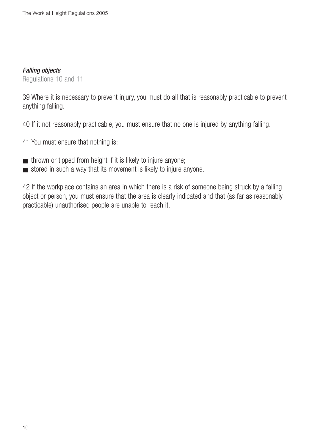#### Falling objects

Regulations 10 and 11

39 Where it is necessary to prevent injury, you must do all that is reasonably practicable to prevent anything falling.

40 If it not reasonably practicable, you must ensure that no one is injured by anything falling.

- 41 You must ensure that nothing is:
- thrown or tipped from height if it is likely to injure anyone;
- stored in such a way that its movement is likely to injure anyone.

42 If the workplace contains an area in which there is a risk of someone being struck by a falling object or person, you must ensure that the area is clearly indicated and that (as far as reasonably practicable) unauthorised people are unable to reach it.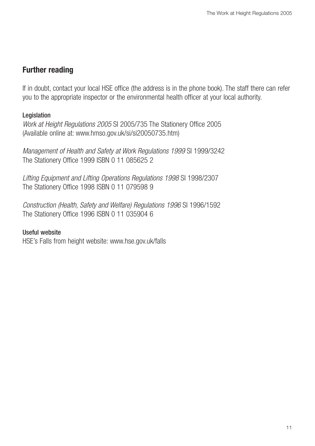## **Further reading**

If in doubt, contact your local HSE office (the address is in the phone book). The staff there can refer you to the appropriate inspector or the environmental health officer at your local authority.

### Legislation

Work at Height Regulations 2005 SI 2005/735 The Stationery Office 2005 (Available online at: www.hmso.gov.uk/si/si20050735.htm)

Management of Health and Safety at Work Regulations 1999 SI 1999/3242 The Stationery Office 1999 ISBN 0 11 085625 2

Lifting Equipment and Lifting Operations Regulations 1998 SI 1998/2307 The Stationery Office 1998 ISBN 0 11 079598 9

Construction (Health, Safety and Welfare) Regulations 1996 SI 1996/1592 The Stationery Office 1996 ISBN 0 11 035904 6

#### Useful website

HSE's Falls from height website: www.hse.gov.uk/falls